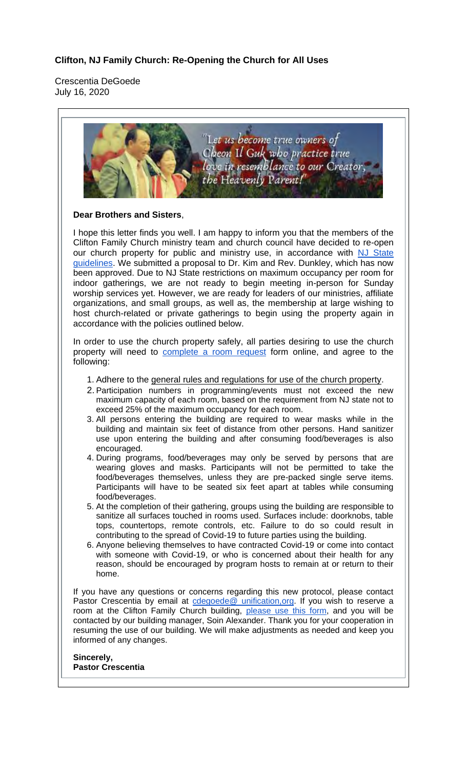## **Clifton, NJ Family Church: Re-Opening the Church for All Uses**

Crescentia DeGoede July 16, 2020

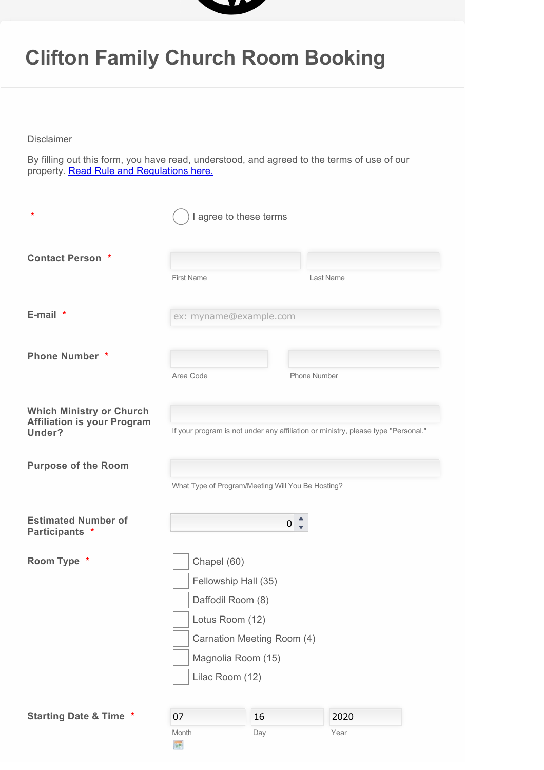

## **Clifton Family Church Room Booking**

Disclaimer

By filling out this form, you have read, understood, and agreed to the terms of use of our property. **Read Rule and Regulations here.** 

| $\ast$                                                                          | I agree to these terms                                                                                                                             |                     |              |
|---------------------------------------------------------------------------------|----------------------------------------------------------------------------------------------------------------------------------------------------|---------------------|--------------|
| <b>Contact Person *</b>                                                         | <b>First Name</b>                                                                                                                                  |                     | Last Name    |
| $E$ -mail $*$                                                                   | ex: myname@example.com                                                                                                                             |                     |              |
| <b>Phone Number *</b>                                                           | Area Code                                                                                                                                          | <b>Phone Number</b> |              |
| <b>Which Ministry or Church</b><br><b>Affiliation is your Program</b><br>Under? | If your program is not under any affiliation or ministry, please type "Personal."                                                                  |                     |              |
| <b>Purpose of the Room</b>                                                      | What Type of Program/Meeting Will You Be Hosting?                                                                                                  |                     |              |
| <b>Estimated Number of</b><br>Participants *                                    | $0\overline{z}$                                                                                                                                    |                     |              |
| Room Type *                                                                     | Chapel (60)<br>Fellowship Hall (35)<br>Daffodil Room (8)<br>Lotus Room (12)<br>Carnation Meeting Room (4)<br>Magnolia Room (15)<br>Lilac Room (12) |                     |              |
| <b>Starting Date &amp; Time *</b>                                               | 07<br>Month<br>展                                                                                                                                   | 16<br>Day           | 2020<br>Year |